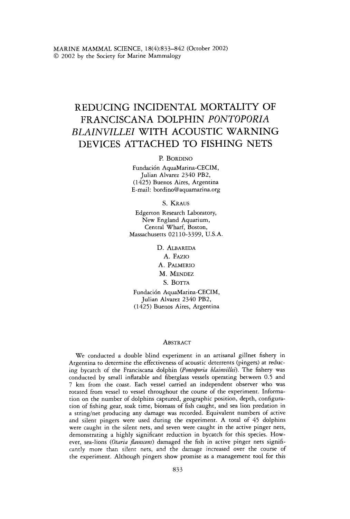# REDUCING INCIDENTAL MORTALITY OF FRANCISCANA DOLPHIN *PONTOPORlA BLAlNVlLLEl* WITH ACOUSTIC WARNING DEVICES ATTACHED TO FISHING NETS

## P. BORDINO

Fundaci6n AquaMarina-CECIM, Julian Alvarez *2340 PB2, (1425)* Buenos Aires, Argentina E-mail: bordino@aquamarina.org

**S.** KRAUS

Edgerton Research Laboratory, New England Aquarium, Central Wharf, Boston, Massachusetts *021 10-3399,* U.S.A.

D. ALBAREDA

**A.** FAZIO

A. PALMERIO

M. MENDEZ

S. BOTTA

Fundaci6n AquaMarina-CECIM, Julian Alvarez *2340 PB2, (1425)* Buenos Aires, Argentina

#### **ABSTRACT**

We conducted a double blind experiment in an artisanal gillnet fishery in Argentina to determine the effectiveness of acoustic deterrents (pingers) at reducing bycatch of the Franciscana dolphin *(Pontoporia blainvillei).* The fishery was conducted by small inflatable and fiberglass vessels operating between 0.5 and 7 **km** from the coast. Each vessel carried an independent observer who was rotated from vessel to vessel throughout the course of the experiment. Information on the number of dolphins captured, geographic position, depth, configuration of fishing gear, *soak* time, biomass of fish caught, and sea lion predation in a string/net producing any damage was recorded. Equivalent numbers of active and silent pingers were used during the experiment. A total of *45* dolphins were caught in the silent nets, and seven were caught in the active pinger nets, demonstrating a highly significant reduction in bycatch for this species. However, sea-lions (Otaria flavescens) damaged the fish in active pinger nets significandy more than silent nets, and the damage increased over the course of the experiment. Although pingers show promise as a management tool for this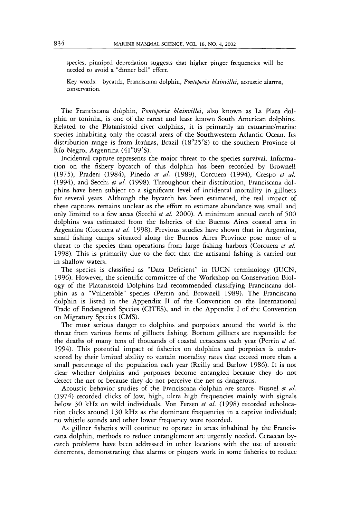species, pinniped depredation suggests that higher pinger frequencies will be needed to avoid a "dinner bell" effect.

Key words: bycatch, Franciscana dolphin, *Pontoporia blainvillei,* acoustic alarms, conservation.

The Franciscana dolphin, *Pontoporia blainvillei,* also known as La Plata dolphin or toninha, is one of the rarest and least known South American dolphins, Related to the Platanistoid river dolphins, it is primarily an estuarine/marine species inhabiting only the coastal areas of the Southwestern Atlantic Ocean. Its distribution range is from Itaúnas, Brazil (18°25'S) to the southern Province of Rio Negro, Argentina (41'09's).

Incidental capture represents the major threat to the species survival. Information on the fishery bycatch of this dolphin has been recorded by Brownell (1975), Praderi (1984), Pinedo *et al.* (1989), Corcuera (1994), Crespo *et al.*  (1994), and Secchi *et a/.* (1998). Throughout their distribution, Franciscana dolphins have been subject to a significant level of incidental mortality in gillnets for several years. Although the bycatch has been estimated, the real impact of these captures remains unclear as the effort to estimate abundance was small and only limited to a few areas (Secchi *et al.* 2000). A minimum annual catch of 500 dolphins was estimated from the fisheries of the Buenos Aires coastal area in Argentina (Corcuera *et al.* 1998). Previous studies have shown that in Argentina, small fishing camps situated along the Buenos Aires Province pose more of a threat to the species than operations from large fishing harbors (Corcuera *et al.*  1998). This is primarily due to the fact that the artisanal fishing is carried out in shallow waters.

The species is classified as "Data Deficient" in IUCN terminology (IUCN, 1996). However, the scientific committee of the Workshop on Conservation Biology of the Platanistoid Dolphins had recommended classifying Franciscana dolphin as a "Vulnerable" species (Perrin and Brownell 1989). The Franciscana dolphin is listed in the Appendix 11 of the Convention on the International Trade of Endangered Species (CITES), and in the Appendix I of the Convention on Migratory Species (CMS).

The most serious danger to dolphins and porpoises around the world is the threat from various forms of gillnets fishing. Bottom gillnets are responsible for the deaths of many tens of thousands of coastal cetaceans each year (Perrin *et al.*  1994). This potential impact of fisheries on dolphins and porpoises is underscored by their limited ability to sustain mortality rates that exceed more than a small percentage of the population each year (Reilly and Barlow 1986). It is not clear whether dolphins and porpoises become entangled because they do not detect the net or because they do not perceive the net as dangerous.

Acoustic behavior studies of the Franciscana dolphin are scarce. Busnel *et al.*  (1974) recorded clicks of low, high, ultra high frequencies mainly with signals below 30 kHz on wild individuals. Von Fersen *et al.* (1998) recorded echolocation clicks around 130 kHz as the dominant frequencies in a captive individual; no whistle sounds and other lower frequency were recorded.

**As** gillnet fisheries will continue to operate in areas inhabited by the Franciscans dolphin, methods to reduce entanglement are urgently needed. Cetacean bycatch problems have been addressed in other locations with the use of acoustic deterrents, demonstrating that alarms or pingers work in some fisheries to reduce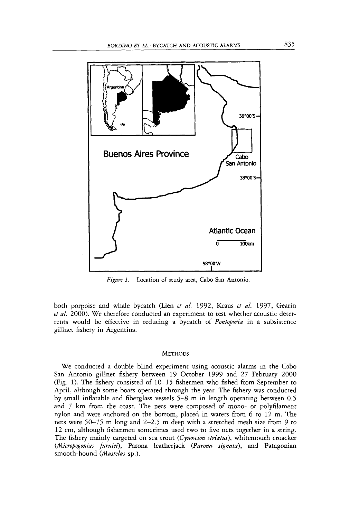

Figure 1. Location of study area, Cabo San Antonio.

both porpoise and whale bycatch (Lien *et al.* 1992, Kraus *et al.* 1997, Gearin *et al.* 2000). We therefore conducted an experiment to test whether acoustic deterrents would be effective in reducing a bycatch of *Pontoporia* in a subsistence gillnet fishery in Argentina.

## **METHODS**

We conducted a double blind experiment using acoustic alarms in the Cabo San Antonio gillnet fishery between 19 October 1999 and 27 February 2000 (Fig. 1). The fishery consisted of 10-15 fishermen who fished from September to April, although some boats operated through the year. The fishery was conducted by small inflatable and fiberglass vessels 5-8 m in length operating between 0.5 and 7 km from the coast. The nets were composed of mono- or polyfilament nylon and were anchored on the bottom, placed in waters from 6 to 12 m. The nets were 50-75 m long and 2-2.5 m deep with a stretched mesh size from 9 to 12 cm, although fishermen sometimes used two to five nets together in a string. The fishery mainly targeted on sea trout (Cynoscion striatus), whitemouth croacker *(Micropogonias fumiei),* Parona leatherjack *(Parona signata),* and Patagonian smooth-hound *(Mustelus* sp.).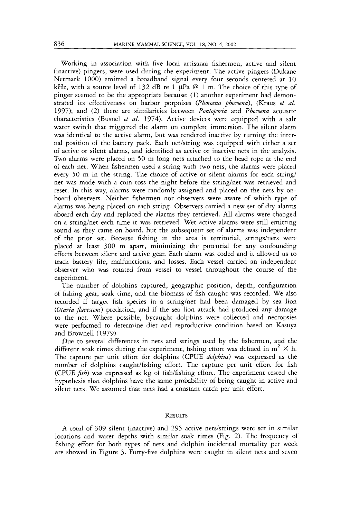Working in association with five local artisanal fishermen, active and silent (inactive) pingers, were used during the experiment. The active pingers (Dukane Netmark 1000) emitted a broadband signal every four seconds centered at 10 kHz, with a source level of 132 dB re 1  $\mu$ Pa @ 1 m. The choice of this type of pinger seemed to be the appropriate because: (1) another experiment had demonstrated its effectiveness on harbor porpoises *(Phocoena phocoena),* (Kraus *et al.*  1997); and (2) there are similarities between *Pontoporza* and *Phocoenu* acoustic characteristics (Busnel *et a/.* 1974). Active devices were equipped with a salt water switch that triggered the alarm on complete immersion. The silent alarm was identical to the active alarm, but was rendered inactive by turning the internal position of the battery pack. Each net/string was equipped with either a set of active or silent alarms, and identified as active or inactive nets in the analysis. Two alarms were placed on 50 m long nets attached to the head rope at the end of each net. When fishermen used a string with two nets, the alarms were placed every 50 m in the string. The choice of active or silent alarms for each string/ net was made with a coin toss the night before the string/net was retrieved and reset. In this way, alarms were randomly assigned and placed on the nets by onboard observers. Neither fishermen nor observers were aware of which type of alarms was being placed on each string. Observers carried a new set of dry alarms aboard each day and replaced the alarms they retrieved. All alarms were changed on a string/net each time it was retrieved. Wet active alarms were still emitting sound as they came on board, but the subsequent set of alarms was independent of the prior set. Because fishing in the area is territorial, strings/nets were placed at least 300 m apart, minimizing the potential for any confounding effects between silent and active gear. Each alarm was coded and it allowed us to track battery life, malfunctions, and losses. Each vessel carried an independent observer who was rotated from vessel to vessel throughout the course of the experiment.

The number of dolphins captured, geographic position, depth, configuration of fishing gear, soak time, and the biomass of fish caught was recorded. We also recorded if target fish species in a string/net had been damaged by sea lion *(Otaria fivescens)* predation, and if the sea lion attack had produced any damage to the net. Where possible, bycaught dolphins were collected and necropsies were performed to determine diet and reproductive condition based on Kasuya and Brownell (1979).

Due to several differences in nets and strings used by the fishermen, and the different soak times during the experiment, fishing effort was defined in  $m^2 \times h$ . The capture per unit effort for dolphins (CPUE *dolphins)* was expressed as the number of dolphins caught/fishing effort. The capture per unit effort for fish (CPUE *\$~h)* was expressed as kg of fish/fishing effort. The experiment tested the hypothesis that dolphins have the same probability of being caught in active and silent nets. We assumed that nets had a constant catch per unit effort.

### **RESULTS**

**A** total of 309 silent (inactive) and 295 active netsisrrings were set in similar locations and water depths with similar soak times (Fig. 2). The frequency of fishing effort for both types of nets and dolphin incidental mortality per week are showed in Figure 3. Forty-five dolphins were caught in silent nets and seven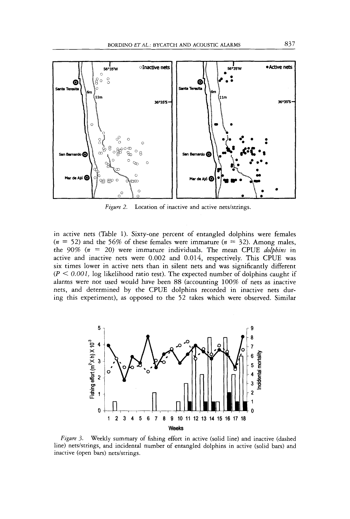

Figure 2. Location of inactive and active nets/strings.

in active nets (Table 1). Sixty-one percent of entangled dolphins were females  $(n = 52)$  and the 56% of these females were immature  $(n = 32)$ . Among males, the *90% (n* = *20)* were immature individuals. The mean CPUE *dolphins* in active and inactive nets were *0.002* and 0.014, respectively. This CPUE was six times lower in active nets than in silent nets and was significantly different  $(P \le 0.001$ , log likelihood ratio test). The expected number of dolphins caught if alarms were not used would have been 88 (accounting 100% of nets as inactive nets, and determined by the CPUE dolphins recorded in inactive nets during this experiment), as opposed to the *52* takes which were observed. Similar



Weekly summary of fishing effort in active (solid line) and inactive (dashed *Figure 3.* line) nets/strings, and incidental number of entangled dolphins in active (solid bars) and inactive (open bars) nets/strings.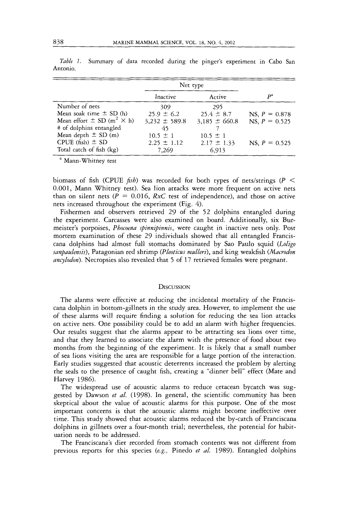|                                                  | Net type          |                   |                 |
|--------------------------------------------------|-------------------|-------------------|-----------------|
|                                                  | Inactive          | Active            | $D^2$           |
| Number of nets                                   | 309.              | 295               |                 |
| Mean soak time $\pm$ SD (h)                      | $25.9 \pm 6.2$    | $25.4 \pm 8.7$    | NS, $P = 0.878$ |
| Mean effort $\pm$ SD (m <sup>2</sup> $\times$ h) | $3,232 \pm 589.8$ | $3,185 \pm 660.8$ | NS, $P = 0.525$ |
| # of dolphins entangled                          | 45                |                   |                 |
| Mean depth $\pm$ SD (m)                          | $10.5 \pm 1$      | $10.5 \pm 1$      |                 |
| CPUE $(fish) \pm SD$                             | $2.25 \pm 1.12$   | $2.17 \pm 1.33$   | $NS, P = 0.525$ |
| Total catch of fish (kg)                         | 7.269             | 6.913             |                 |

Table 1. Summary of data recorded during the pinger's experiment in Cabo San Antonio.

<sup>a</sup> Mann-Whitney test

biomass of fish (CPUE  $f$ ish) was recorded for both types of nets/strings  $(P <$ 0.001, Mann Whitney test). Sea lion attacks were more frequent on active nets than on silent nets  $(P = 0.016, RxC$  test of independence), and those on active nets increased throughout the experiment (Fig. *4).* 

Fishermen and observers retrieved 29 of the 52 dolphins entangled during the experiment. Carcasses were also examined on board. Additionally, six Burmeister's porpoises, *Phocoena spinnipinnis,* were caught in inactive nets only. Post mortem examination of these 29 individuals showed that all entangled Franciscans dolphins had almost full stomachs dominated by Sao Paulo squid *(Lolzgo sanpaulensis),* Patagonian red shrimp *(Pleoticus mulleri),* and king weakfish *(Macrodon ancylodon).* Necropsies also revealed that *5* of 17 retrieved females were pregnant.

#### **DISCUSSION**

The alarms were effective at reducing the incidental mortality of the Franciscans dolphin in bottom-gillnets in the study area. However, to implement the use of these alarms will require finding a solution for reducing the sea lion attacks on active nets. One possibility could be to add an alarm with higher frequencies. Our results suggest that the alarms appear to be attracting sea lions over time, and that they learned to associate the alarm with the presence of food about two months from the beginning of the experiment. It is likely that a small number of sea lions visiting the area are responsible for a large portion of the interaction. Early studies suggested that acoustic deterrents increased the problem by alerting the seals to the presence of caught fish, creating a "dinner bell" effect (Mate and Harvey 1986).

The widespread use of acoustic alarms to reduce cetacean bycatch was suggested by Dawson *et al.* (1998). In general, the scientific community has been skeptical about the value of acoustic alarms for this purpose. One of the most important concerns is that the acoustic alarms might become ineffective over time. This study showed that acoustic alarms reduced the by-catch of Franciscana dolphins in gillnets over a four-month trial; nevertheless, the potential for habituation needs to be addressed.

The Franciscana's diet recorded from stomach contents was not different from previous reports for this species *(e.g.,* Pinedo *et al.* 1989). Entangled dolphins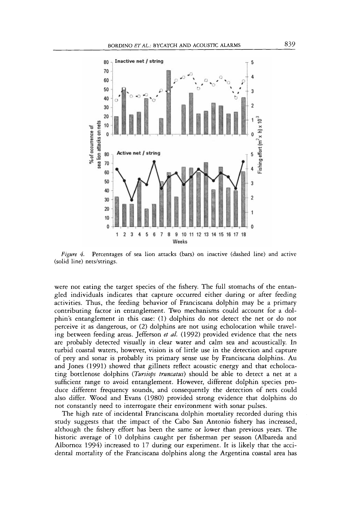

*Figure 4.* Percentages of sea lion attacks (bars) on inactive (dashed line) and active (solid line) nets/strings.

were not eating the target species of the fishery. The full stomachs of the entangled individuals indicates that capture occurred either during or after feeding activities, Thus, the feeding behavior of Franciscana dolphin may be a primary contributing factor in entanglement. Two mechanisms could account for a dolphin's entanglement in this case: (1) dolphins do not detect the net or do not perceive it as dangerous, or (2) dolphins are not using echolocation while traveling between feeding areas. Jefferson *et ul.* (1992) provided evidence that the nets are probably detected visually in clear water and calm sea and acoustically. In turbid coastal waters, however, vision is of little use in the detection and capture of prey and sonar is probably its primary sense use by Franciscana dolphins. Au and Jones (1991) showed that gillnets reflect acoustic energy and that echolocating bottlenose dolphins *(Tursiops truncatus)* should be able to detect a net at a sufficient range to avoid entanglement. However, different dolphin species produce different frequency sounds, and consequently the detection of nets could also differ. Wood and Evans (1980) provided strong evidence that dolphins do not constantly need to interrogate their environment with sonar pulses.

The high rate of incidental Franciscana dolphin mortality recorded during this study suggests that the impact of the Cabo San Antonio fishery has increased, although the fishery effort has been the same or lower than previous years. The historic average of 10 dolphins caught per fisherman per season (Albareda and Albornoz 1994) increased to 17 during our experiment. It is likely that the accidental mortality of the Franciscana dolphins along the Argentina coastal area has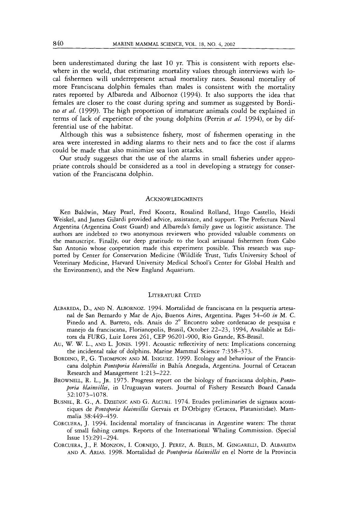been underestimated during the last *10* yr. This is consistent with reports elsewhere in the world, that estimating mortality values through interviews with local fishermen will underrepresent actual mortality rates. Seasonal mortality of more Franciscana dolphin females than males is consistent with the mortality rates reported by Albareda and Albornoz *(1994).* It also supports the idea that females are closer to the coast during spring and summer as suggested by Bordino *et af. (1999).* The high proportion of immature animals could be explained in terms of lack of experience of the young dolphins (Perrin *et af. 1994),* or by differential use of the habitat.

Although this was a subsistence fishery, most of fishermen operating in the area were interested in adding alarms to their nets and to face the cost if alarms could be made that also minimize sea lion attacks.

Our study suggests that the use of the alarms in small fisheries under appropriate controls should be considered as a tool in developing a strategy for conservation of the Franciscana dolphin.

#### **ACKNOWLEDGMENTS**

Ken Baldwin, Mary Pearl, Fred Koontz, Rosalind Rolland, Hugo Castello, Heidi Weiskel, and James Gilardi provided advice, assistance, and support. The Prefectura Naval Argentina (Argentina Coast Guard) and Albareda's family gave us logistic assistance. The authors are indebted to two anonymous reviewers who provided valuable comments on the manuscript. Finally, our deep gratitude to the local artisanal fishermen from Cabo San Antonio whose cooperation made this experiment possible. This research was **sup**ported by Center for Conservation Medicine (Wildlife Trust, Tufts University School of Veterinary Medicine, Harvard University Medical School's Center for Global Health and the Environment), and the New England Aquarium.

## LITERATURE CITED

- ALBAREDA, D., AND N. ALBORNOZ. 1994. Mortalidad de franciscana en la pesqueria artesanal de San Bernard0 y Mar de Ajo, Buenos Aires, Argentina. Pages 54-60 *in* M. C. Pinedo and A. Barreto, eds. Anais do 2" Encontro sobre cordenacao de pesquisa e manejo da franciscana, Florianopolis, Brasil, October 22-23, 1994, Available at Editora da FURG, Luiz Lorea 261, CEP 96201-900, Rio Grande, RS-Brasil.
- Au, W. W. L., AND L. JONES. 1991. Acoustic reflectivity of nets: Implications concerning the incidental take of dolphins. Marine Mammal Science 7:358-373.
- BORDINO, P., G. THOMPSON AD M. INIGUEZ. 1999. Ecology and behaviour of the Franciscana dolphin *Pontoporia blainvillei* in Bahía Anegada, Argentina. Journal of Cetacean Research and Management 1:213-222.
- BROWNELL, R.L., JR. 1975. Progress report on the biology of franciscana dolphin, *Pontoporia blainvillei,* in Uruguayan waters. Journal of Fishery Research Board Canada 32: 1073-1078.
- BUSNEL, R. G., A. DZIEDZIC AND G. ALCURI. 1974. Etudes preliminaries de signaux acoustiques de *Pontoporia blainoillet* Gervais et D'Orbigny (Cetacea, Platanistidae). Marnmalia 38:449-459.
- CORCUERA, J. 1994. Incidental mortality of franciscanas in Argentine waters: The threat of small fishing camps. Reports of the International Whaling Commission. (Special Issue 15):291-294.
- CORCUERA, J., F. MONZON, I. CORNEJO, J. PEREZ, A. BEILIS, M. GINGARELLI, D. ALBAREDA AND A. ARIAS. 1998. Mortalidad de *Pontoporia blainvillei* en el Norte de la Provincia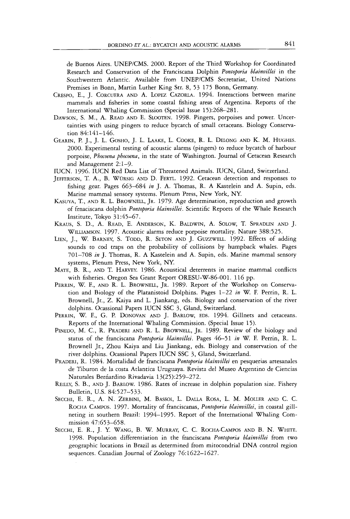de Buenos Aires. UNEP/CMS. 2000. Report of the Third Workshop for Coordinated Research and Conservation of the Franciscana Dolphin *Pontoporia blainvillei* in the Southwestern Atlantic. Available from UNEP/CMS Secretariat, United Nations Premises in Bonn, Martin Luther King Str. 8, 53 175 Bonn, Germany.

- CRESPO, E., J. CORCUERA AND A. LOPEZ CAZORLA. 1994. Interactions between marine mammals and fisheries in some coastal fishing areas of Argentina. Reports of the International Whaling Commission (Special Issue 15):268-281.
- DAWSON, S. M., A. READ AND E. SLOOTEN. 1998. Pingers, porpoises and power. Uncertainties with using pingers to reduce bycatch of small cetaceans. Biology Conservation 84:141-146.
- GEARIN, P. J., J. L. GOSHO, J. L. LAAKE, L. COOKE, R. **L.** DELONG AND K. M. HUGHES. 2000. Experimental testing of acoustic alarms (pingers) to reduce bycatch of harbour porpoise, *Phocoena phocoena,* in the state of Washington. Journal of Cetacean Research and Management 2: 1-9.
- IUCN. 1996. IUCN Red Data List of Threatened Animals. IUCN, Gland, Switzerland.
- JEFFERSON, T.A,, B. WURSIG AND D. FERTL. 1992. Cetacean detection and responses to fishing gear. Pages 663-684 *in* J. A. Thomas, R. A Kastelein and A. Supin, eds. Marine mammal sensory systems. Plenum Press, New York, NY.
- KASUYA, T., AND R. L. BROWNELL, JR. 1979. Age determination, reproduction and growth of frnaciscana dolphin *Pontoporia blainvillei.* Scientific Reports of the Whale Research Institute, Tokyo 31:45-67.
- KRAUS, S. D., A. READ, E. ANDERSON, K. BALDWIN, A. SOLOW, T. SPRADLIN AND J. WILLIAMSON. 1997. Acoustic alarms reduce porpoise mortality. Nature 388:525.
- LIEN, J., W. BARNEY, S. TODD, R. SETON AND J. GUZZWELL. 1992. Effects of adding sounds to cod traps on the probability of collisions by humpback whales. Pages 701-708 *in* J. Thomas, R. A Kastelein and A. Supin, eds. Marine mammal sensory systems, Plenum Press, New York, NY.
- MATE, B. R., AND T. HARVEY. 1986. Acoustical deterrents in marine mammal conflicts with fisheries. Oregon Sea Grant Report ORESU-W-86-001. 116 pp.
- PERRIN, W. F., AND R. L. BROWNELI., JR. 1989. Report of the Workshop on Conservation and Biology of the Platanistoid Dolphins. Pages 1-22 *in* W. F. Perrin, R. L. Brownell, Jr., *2.* Kaiya and L. Jiankang, eds. Biology and conservation of the river dolphins. Ocassional Papers IUCN SSC 3, Gland, Switzerland.
- PERRIN, W. F., G. P. DONOVAN AND J. BARLOW, EDS. 1994. Gillnets and cetaceans. Reports of the International Whaling Commission. (Special Issue 15).
- PINEDO, M. C., R. PRADERI AND R. L. BROWNELL, JR. 1989. Review of the biology and status of the franciscana *Pontoporia blainvillei.* Pages 46-51 *in* W. F. Perrin, R. L. Brownell Jr., Zhou Kaiya and Liu Jiankang, eds. Biology and conservation of the river dolphins. Ocassional Papers IUCN SSC 3, Gland, Switzerland.
- PRADERI, R. *1984.* Mortalidad de franciscana *Pontoporia blainvillei* en pesquerias artesanales de Tiburon de la costa Atlanrica Uruguaya. Revista del Museo Argentino de Ciencias Naturales Berńardino Rivadavia 13(25):259-272.
- REILLY, S. B., **AND** J. BARLOW. 1986. Rates of increase in dolphin population size. Fishery Bulletin, U.S. 84:527-533.
- SECCHI, E. R., A. N. ZERBINI, M. BASSOI, L. DALLA ROSA, L. M. MOLLER AND C. C. ROCHA CAMPOS. 1997. Mortality of franciscanas, *Pontoporia blainvillei,* in coastal gillneting in southern Brazil: 1994-1995. Report of the International Whaling Commission 47:653-658.
- SECCHI, E. R., J. Y. WANG, B. W. MURRAY, C. C. ROCHA-CAMPOS AND B. N. WHITE. 1998. Population differentiation in the franciscana *Pontoporia blainvillei* from two geographic locations in Brazil as determined from mitocondrial DNA control region sequences. Canadian Journal of Zoology 76:1622-1627.